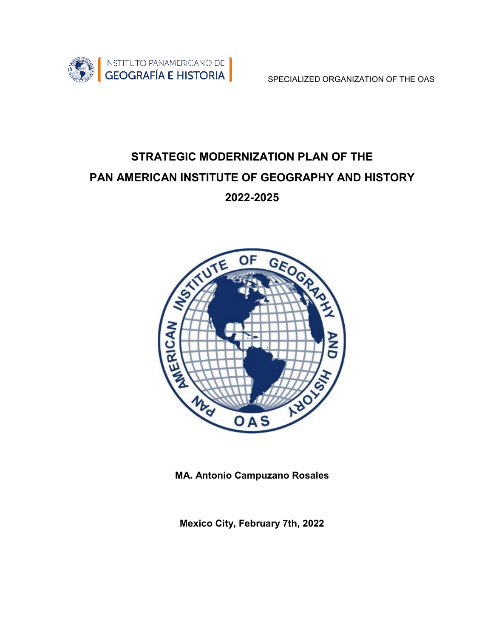

## **STRATEGIC MODERNIZATION PLAN OF THE PAN AMERICAN INSTITUTE OF GEOGRAPHY AND HISTORY 2022-2025**



**MA. Antonio Campuzano Rosales**

**Mexico City, February 7th, 2022**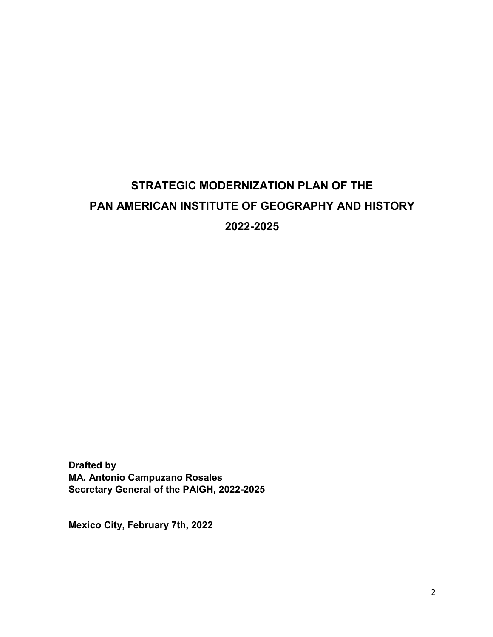# **STRATEGIC MODERNIZATION PLAN OF THE PAN AMERICAN INSTITUTE OF GEOGRAPHY AND HISTORY 2022-2025**

**Drafted by MA. Antonio Campuzano Rosales Secretary General of the PAIGH, 2022-2025**

**Mexico City, February 7th, 2022**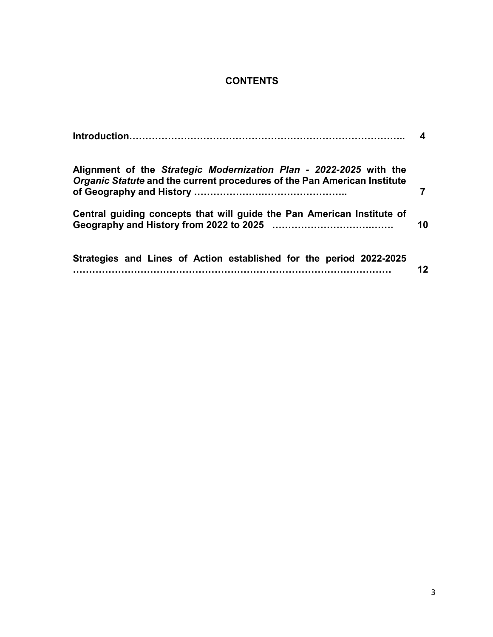## **CONTENTS**

|                                                                                                                                                | 4  |
|------------------------------------------------------------------------------------------------------------------------------------------------|----|
| Alignment of the Strategic Modernization Plan - 2022-2025 with the<br>Organic Statute and the current procedures of the Pan American Institute |    |
| Central guiding concepts that will guide the Pan American Institute of                                                                         | 10 |
| Strategies and Lines of Action established for the period 2022-2025<br>.                                                                       | 12 |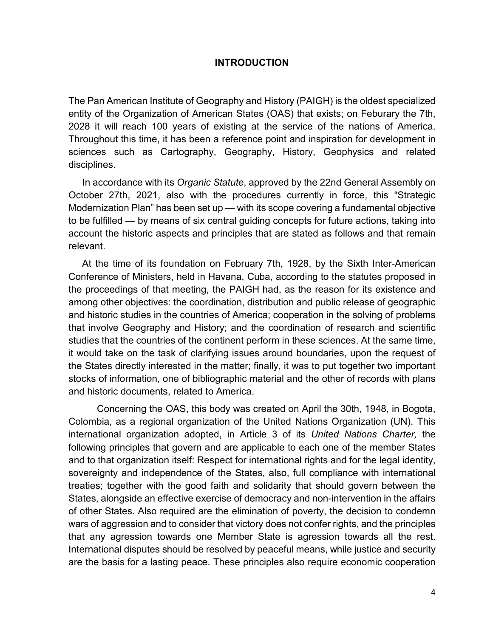#### **INTRODUCTION**

The Pan American Institute of Geography and History (PAIGH) is the oldest specialized entity of the Organization of American States (OAS) that exists; on Feburary the 7th, 2028 it will reach 100 years of existing at the service of the nations of America. Throughout this time, it has been a reference point and inspiration for development in sciences such as Cartography, Geography, History, Geophysics and related disciplines.

In accordance with its *Organic Statute*, approved by the 22nd General Assembly on October 27th, 2021, also with the procedures currently in force, this "Strategic Modernization Plan" has been set up — with its scope covering a fundamental objective to be fulfilled — by means of six central guiding concepts for future actions, taking into account the historic aspects and principles that are stated as follows and that remain relevant.

At the time of its foundation on February 7th, 1928, by the Sixth Inter-American Conference of Ministers, held in Havana, Cuba, according to the statutes proposed in the proceedings of that meeting, the PAIGH had, as the reason for its existence and among other objectives: the coordination, distribution and public release of geographic and historic studies in the countries of America; cooperation in the solving of problems that involve Geography and History; and the coordination of research and scientific studies that the countries of the continent perform in these sciences. At the same time, it would take on the task of clarifying issues around boundaries, upon the request of the States directly interested in the matter; finally, it was to put together two important stocks of information, one of bibliographic material and the other of records with plans and historic documents, related to America.

Concerning the OAS, this body was created on April the 30th, 1948, in Bogota, Colombia, as a regional organization of the United Nations Organization (UN). This international organization adopted, in Article 3 of its *United Nations Charter,* the following principles that govern and are applicable to each one of the member States and to that organization itself: Respect for international rights and for the legal identity, sovereignty and independence of the States, also, full compliance with international treaties; together with the good faith and solidarity that should govern between the States, alongside an effective exercise of democracy and non-intervention in the affairs of other States. Also required are the elimination of poverty, the decision to condemn wars of aggression and to consider that victory does not confer rights, and the principles that any agression towards one Member State is agression towards all the rest. International disputes should be resolved by peaceful means, while justice and security are the basis for a lasting peace. These principles also require economic cooperation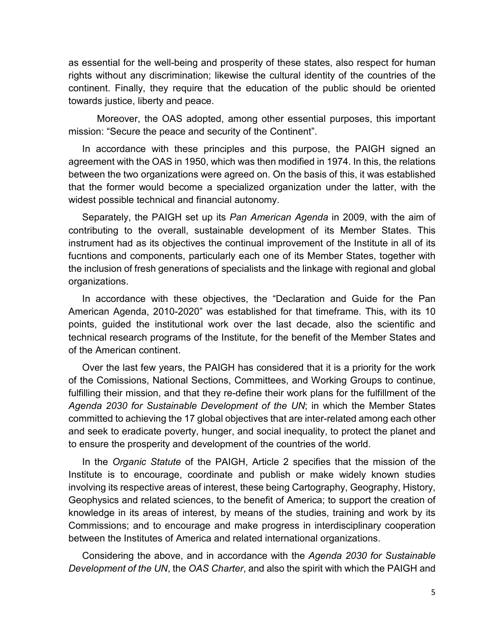as essential for the well-being and prosperity of these states, also respect for human rights without any discrimination; likewise the cultural identity of the countries of the continent. Finally, they require that the education of the public should be oriented towards justice, liberty and peace.

Moreover, the OAS adopted, among other essential purposes, this important mission: "Secure the peace and security of the Continent".

In accordance with these principles and this purpose, the PAIGH signed an agreement with the OAS in 1950, which was then modified in 1974. In this, the relations between the two organizations were agreed on. On the basis of this, it was established that the former would become a specialized organization under the latter, with the widest possible technical and financial autonomy.

Separately, the PAIGH set up its *Pan American Agenda* in 2009, with the aim of contributing to the overall, sustainable development of its Member States. This instrument had as its objectives the continual improvement of the Institute in all of its fucntions and components, particularly each one of its Member States, together with the inclusion of fresh generations of specialists and the linkage with regional and global organizations.

In accordance with these objectives, the "Declaration and Guide for the Pan American Agenda, 2010-2020" was established for that timeframe. This, with its 10 points, guided the institutional work over the last decade, also the scientific and technical research programs of the Institute, for the benefit of the Member States and of the American continent.

Over the last few years, the PAIGH has considered that it is a priority for the work of the Comissions, National Sections, Committees, and Working Groups to continue, fulfilling their mission, and that they re-define their work plans for the fulfillment of the *Agenda 2030 for Sustainable Development of the UN*; in which the Member States committed to achieving the 17 global objectives that are inter-related among each other and seek to eradicate poverty, hunger, and social inequality, to protect the planet and to ensure the prosperity and development of the countries of the world.

In the *Organic Statute* of the PAIGH, Article 2 specifies that the mission of the Institute is to encourage, coordinate and publish or make widely known studies involving its respective areas of interest, these being Cartography, Geography, History, Geophysics and related sciences, to the benefit of America; to support the creation of knowledge in its areas of interest, by means of the studies, training and work by its Commissions; and to encourage and make progress in interdisciplinary cooperation between the Institutes of America and related international organizations.

Considering the above, and in accordance with the *Agenda 2030 for Sustainable Development of the UN*, the *OAS Charter*, and also the spirit with which the PAIGH and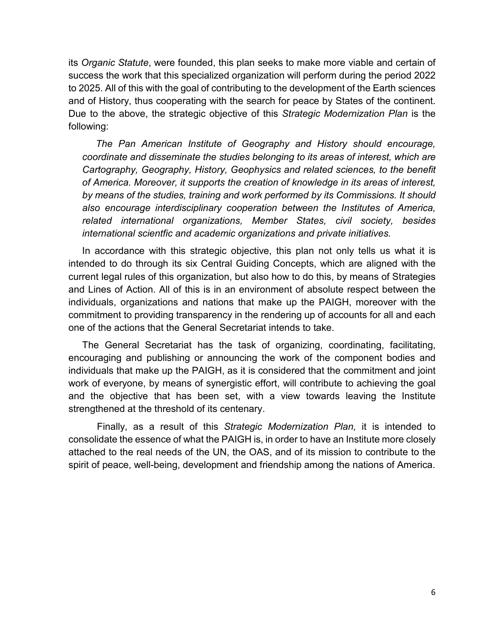its *Organic Statute*, were founded, this plan seeks to make more viable and certain of success the work that this specialized organization will perform during the period 2022 to 2025. All of this with the goal of contributing to the development of the Earth sciences and of History, thus cooperating with the search for peace by States of the continent. Due to the above, the strategic objective of this *Strategic Modernization Plan* is the following:

*The Pan American Institute of Geography and History should encourage, coordinate and disseminate the studies belonging to its areas of interest, which are Cartography, Geography, History, Geophysics and related sciences, to the benefit of America. Moreover, it supports the creation of knowledge in its areas of interest, by means of the studies, training and work performed by its Commissions. It should also encourage interdisciplinary cooperation between the Institutes of America, related international organizations, Member States, civil society, besides international scientfic and academic organizations and private initiatives.*

In accordance with this strategic objective, this plan not only tells us what it is intended to do through its six Central Guiding Concepts, which are aligned with the current legal rules of this organization, but also how to do this, by means of Strategies and Lines of Action. All of this is in an environment of absolute respect between the individuals, organizations and nations that make up the PAIGH, moreover with the commitment to providing transparency in the rendering up of accounts for all and each one of the actions that the General Secretariat intends to take.

The General Secretariat has the task of organizing, coordinating, facilitating, encouraging and publishing or announcing the work of the component bodies and individuals that make up the PAIGH, as it is considered that the commitment and joint work of everyone, by means of synergistic effort, will contribute to achieving the goal and the objective that has been set, with a view towards leaving the Institute strengthened at the threshold of its centenary.

Finally, as a result of this *Strategic Modernization Plan,* it is intended to consolidate the essence of what the PAIGH is, in order to have an Institute more closely attached to the real needs of the UN, the OAS, and of its mission to contribute to the spirit of peace, well-being, development and friendship among the nations of America.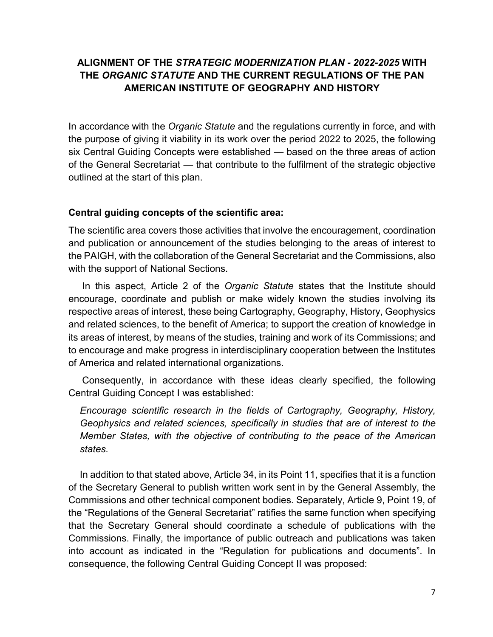## **ALIGNMENT OF THE** *STRATEGIC MODERNIZATION PLAN - 2022-2025* **WITH THE** *ORGANIC STATUTE* **AND THE CURRENT REGULATIONS OF THE PAN AMERICAN INSTITUTE OF GEOGRAPHY AND HISTORY**

In accordance with the *Organic Statute* and the regulations currently in force, and with the purpose of giving it viability in its work over the period 2022 to 2025, the following six Central Guiding Concepts were established — based on the three areas of action of the General Secretariat — that contribute to the fulfilment of the strategic objective outlined at the start of this plan.

#### **Central guiding concepts of the scientific area:**

The scientific area covers those activities that involve the encouragement, coordination and publication or announcement of the studies belonging to the areas of interest to the PAIGH, with the collaboration of the General Secretariat and the Commissions, also with the support of National Sections.

In this aspect, Article 2 of the *Organic Statute* states that the Institute should encourage, coordinate and publish or make widely known the studies involving its respective areas of interest, these being Cartography, Geography, History, Geophysics and related sciences, to the benefit of America; to support the creation of knowledge in its areas of interest, by means of the studies, training and work of its Commissions; and to encourage and make progress in interdisciplinary cooperation between the Institutes of America and related international organizations.

Consequently, in accordance with these ideas clearly specified, the following Central Guiding Concept I was established:

*Encourage scientific research in the fields of Cartography, Geography, History, Geophysics and related sciences, specifically in studies that are of interest to the Member States, with the objective of contributing to the peace of the American states.*

In addition to that stated above, Article 34, in its Point 11, specifies that it is a function of the Secretary General to publish written work sent in by the General Assembly, the Commissions and other technical component bodies. Separately, Article 9, Point 19, of the "Regulations of the General Secretariat" ratifies the same function when specifying that the Secretary General should coordinate a schedule of publications with the Commissions. Finally, the importance of public outreach and publications was taken into account as indicated in the "Regulation for publications and documents". In consequence, the following Central Guiding Concept II was proposed: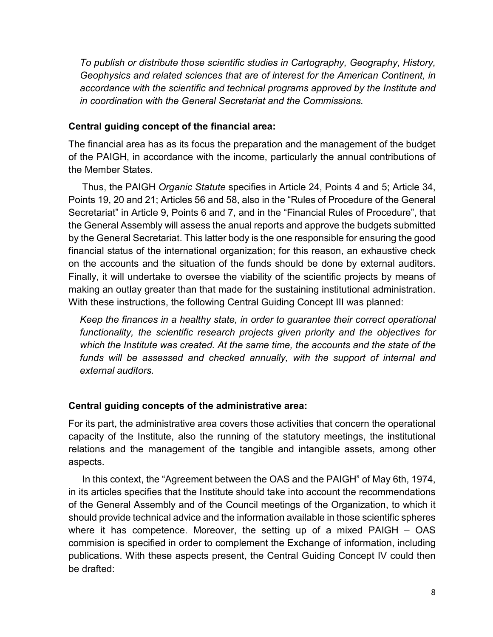*To publish or distribute those scientific studies in Cartography, Geography, History, Geophysics and related sciences that are of interest for the American Continent, in accordance with the scientific and technical programs approved by the Institute and in coordination with the General Secretariat and the Commissions.*

#### **Central guiding concept of the financial area:**

The financial area has as its focus the preparation and the management of the budget of the PAIGH, in accordance with the income, particularly the annual contributions of the Member States.

Thus, the PAIGH *Organic Statute* specifies in Article 24, Points 4 and 5; Article 34, Points 19, 20 and 21; Articles 56 and 58, also in the "Rules of Procedure of the General Secretariat" in Article 9, Points 6 and 7, and in the "Financial Rules of Procedure", that the General Assembly will assess the anual reports and approve the budgets submitted by the General Secretariat. This latter body is the one responsible for ensuring the good financial status of the international organization; for this reason, an exhaustive check on the accounts and the situation of the funds should be done by external auditors. Finally, it will undertake to oversee the viability of the scientific projects by means of making an outlay greater than that made for the sustaining institutional administration. With these instructions, the following Central Guiding Concept III was planned:

*Keep the finances in a healthy state, in order to guarantee their correct operational functionality, the scientific research projects given priority and the objectives for which the Institute was created. At the same time, the accounts and the state of the funds will be assessed and checked annually, with the support of internal and external auditors.*

### **Central guiding concepts of the administrative area:**

For its part, the administrative area covers those activities that concern the operational capacity of the Institute, also the running of the statutory meetings, the institutional relations and the management of the tangible and intangible assets, among other aspects.

In this context, the "Agreement between the OAS and the PAIGH" of May 6th, 1974, in its articles specifies that the Institute should take into account the recommendations of the General Assembly and of the Council meetings of the Organization, to which it should provide technical advice and the information available in those scientific spheres where it has competence. Moreover, the setting up of a mixed PAIGH – OAS commision is specified in order to complement the Exchange of information, including publications. With these aspects present, the Central Guiding Concept IV could then be drafted: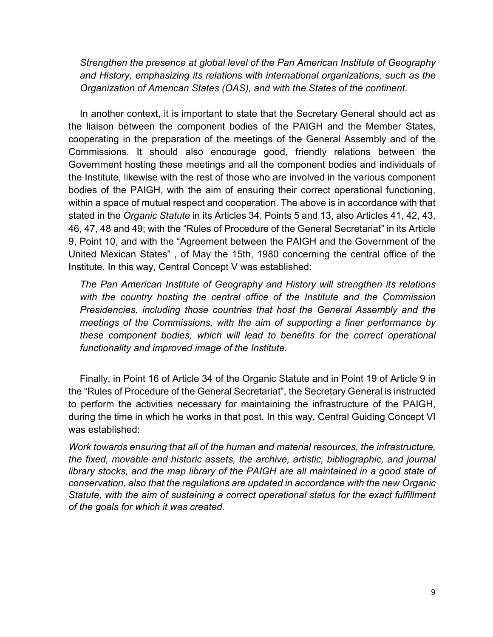*Strengthen the presence at global level of the Pan American Institute of Geography and History, emphasizing its relations with international organizations, such as the Organization of American States (OAS), and with the States of the continent.*

In another context, it is important to state that the Secretary General should act as the liaison between the component bodies of the PAIGH and the Member States, cooperating in the preparation of the meetings of the General Assembly and of the Commissions. It should also encourage good, friendly relations between the Government hosting these meetings and all the component bodies and individuals of the Institute, likewise with the rest of those who are involved in the various component bodies of the PAIGH, with the aim of ensuring their correct operational functioning, within a space of mutual respect and cooperation. The above is in accordance with that stated in the *Organic Statute* in its Articles 34, Points 5 and 13, also Articles 41, 42, 43, 46, 47, 48 and 49; with the "Rules of Procedure of the General Secretariat" in its Article 9, Point 10, and with the "Agreement between the PAIGH and the Government of the United Mexican States" , of May the 15th, 1980 concerning the central office of the Institute. In this way, Central Concept V was established:

*The Pan American Institute of Geography and History will strengthen its relations with the country hosting the central office of the Institute and the Commission Presidencies, including those countries that host the General Assembly and the meetings of the Commissions, with the aim of supporting a finer performance by these component bodies, which will lead to benefits for the correct operational functionality and improved image of the Institute.*

Finally, in Point 16 of Article 34 of the Organic Statute and in Point 19 of Article 9 in the "Rules of Procedure of the General Secretariat", the Secretary General is instructed to perform the activities necessary for maintaining the infrastructure of the PAIGH, during the time in which he works in that post. In this way, Central Guiding Concept VI was established:

*Work towards ensuring that all of the human and material resources, the infrastructure, the fixed, movable and historic assets, the archive, artistic, bibliographic, and journal library stocks, and the map library of the PAIGH are all maintained in a good state of conservation, also that the regulations are updated in accordance with the new Organic Statute, with the aim of sustaining a correct operational status for the exact fulfillment of the goals for which it was created.*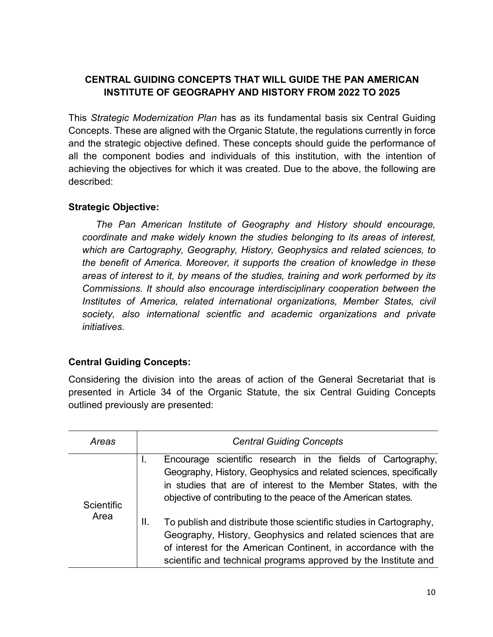## **CENTRAL GUIDING CONCEPTS THAT WILL GUIDE THE PAN AMERICAN INSTITUTE OF GEOGRAPHY AND HISTORY FROM 2022 TO 2025**

This *Strategic Modernization Plan* has as its fundamental basis six Central Guiding Concepts. These are aligned with the Organic Statute, the regulations currently in force and the strategic objective defined. These concepts should guide the performance of all the component bodies and individuals of this institution, with the intention of achieving the objectives for which it was created. Due to the above, the following are described:

### **Strategic Objective:**

*The Pan American Institute of Geography and History should encourage, coordinate and make widely known the studies belonging to its areas of interest, which are Cartography, Geography, History, Geophysics and related sciences, to the benefit of America. Moreover, it supports the creation of knowledge in these areas of interest to it, by means of the studies, training and work performed by its Commissions. It should also encourage interdisciplinary cooperation between the Institutes of America, related international organizations, Member States, civil society, also international scientfic and academic organizations and private initiatives.*

### **Central Guiding Concepts:**

Considering the division into the areas of action of the General Secretariat that is presented in Article 34 of the Organic Statute, the six Central Guiding Concepts outlined previously are presented:

| Areas              | <b>Central Guiding Concepts</b>                                                                                                                                                                                                                                                                                                                                                                                        |
|--------------------|------------------------------------------------------------------------------------------------------------------------------------------------------------------------------------------------------------------------------------------------------------------------------------------------------------------------------------------------------------------------------------------------------------------------|
| Scientific<br>Area | Encourage scientific research in the fields of Cartography,<br>ι.<br>Geography, History, Geophysics and related sciences, specifically<br>in studies that are of interest to the Member States, with the<br>objective of contributing to the peace of the American states.<br>To publish and distribute those scientific studies in Cartography,<br>Ш.<br>Geography, History, Geophysics and related sciences that are |
|                    | of interest for the American Continent, in accordance with the<br>scientific and technical programs approved by the Institute and                                                                                                                                                                                                                                                                                      |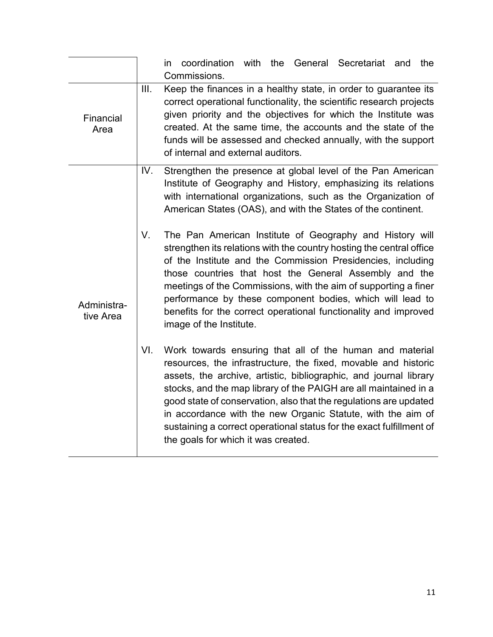|                          | coordination with the General Secretariat and the<br>in<br>Commissions.                                                                                                                                                                                                                                                                                                                                                                                                                                                       |
|--------------------------|-------------------------------------------------------------------------------------------------------------------------------------------------------------------------------------------------------------------------------------------------------------------------------------------------------------------------------------------------------------------------------------------------------------------------------------------------------------------------------------------------------------------------------|
| Financial<br>Area        | Keep the finances in a healthy state, in order to guarantee its<br>III.<br>correct operational functionality, the scientific research projects<br>given priority and the objectives for which the Institute was<br>created. At the same time, the accounts and the state of the<br>funds will be assessed and checked annually, with the support<br>of internal and external auditors.                                                                                                                                        |
| Administra-<br>tive Area | IV.<br>Strengthen the presence at global level of the Pan American<br>Institute of Geography and History, emphasizing its relations<br>with international organizations, such as the Organization of<br>American States (OAS), and with the States of the continent.                                                                                                                                                                                                                                                          |
|                          | V.<br>The Pan American Institute of Geography and History will<br>strengthen its relations with the country hosting the central office<br>of the Institute and the Commission Presidencies, including<br>those countries that host the General Assembly and the<br>meetings of the Commissions, with the aim of supporting a finer<br>performance by these component bodies, which will lead to<br>benefits for the correct operational functionality and improved<br>image of the Institute.                                 |
|                          | VI.<br>Work towards ensuring that all of the human and material<br>resources, the infrastructure, the fixed, movable and historic<br>assets, the archive, artistic, bibliographic, and journal library<br>stocks, and the map library of the PAIGH are all maintained in a<br>good state of conservation, also that the regulations are updated<br>in accordance with the new Organic Statute, with the aim of<br>sustaining a correct operational status for the exact fulfillment of<br>the goals for which it was created. |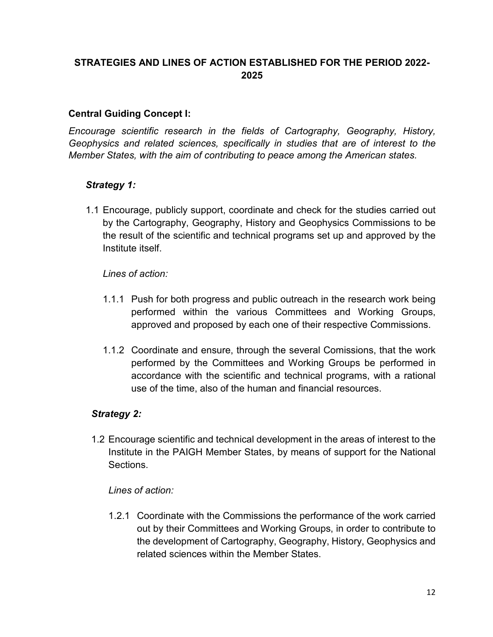## **STRATEGIES AND LINES OF ACTION ESTABLISHED FOR THE PERIOD 2022- 2025**

#### **Central Guiding Concept I:**

*Encourage scientific research in the fields of Cartography, Geography, History, Geophysics and related sciences, specifically in studies that are of interest to the Member States, with the aim of contributing to peace among the American states.* 

#### *Strategy 1:*

1.1 Encourage, publicly support, coordinate and check for the studies carried out by the Cartography, Geography, History and Geophysics Commissions to be the result of the scientific and technical programs set up and approved by the Institute itself.

#### *Lines of action:*

- 1.1.1 Push for both progress and public outreach in the research work being performed within the various Committees and Working Groups, approved and proposed by each one of their respective Commissions.
- 1.1.2 Coordinate and ensure, through the several Comissions, that the work performed by the Committees and Working Groups be performed in accordance with the scientific and technical programs, with a rational use of the time, also of the human and financial resources.

### *Strategy 2:*

1.2 Encourage scientific and technical development in the areas of interest to the Institute in the PAIGH Member States, by means of support for the National **Sections** 

#### *Lines of action:*

1.2.1 Coordinate with the Commissions the performance of the work carried out by their Committees and Working Groups, in order to contribute to the development of Cartography, Geography, History, Geophysics and related sciences within the Member States.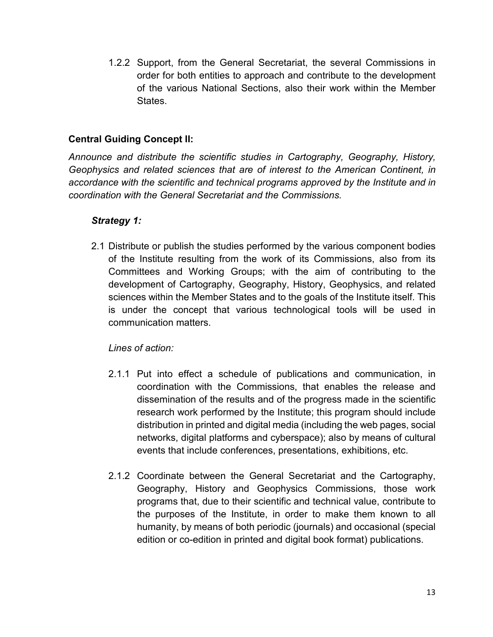1.2.2 Support, from the General Secretariat, the several Commissions in order for both entities to approach and contribute to the development of the various National Sections, also their work within the Member States.

## **Central Guiding Concept II:**

*Announce and distribute the scientific studies in Cartography, Geography, History, Geophysics and related sciences that are of interest to the American Continent, in accordance with the scientific and technical programs approved by the Institute and in coordination with the General Secretariat and the Commissions.*

### *Strategy 1:*

2.1 Distribute or publish the studies performed by the various component bodies of the Institute resulting from the work of its Commissions, also from its Committees and Working Groups; with the aim of contributing to the development of Cartography, Geography, History, Geophysics, and related sciences within the Member States and to the goals of the Institute itself. This is under the concept that various technological tools will be used in communication matters.

- 2.1.1 Put into effect a schedule of publications and communication, in coordination with the Commissions, that enables the release and dissemination of the results and of the progress made in the scientific research work performed by the Institute; this program should include distribution in printed and digital media (including the web pages, social networks, digital platforms and cyberspace); also by means of cultural events that include conferences, presentations, exhibitions, etc.
- 2.1.2 Coordinate between the General Secretariat and the Cartography, Geography, History and Geophysics Commissions, those work programs that, due to their scientific and technical value, contribute to the purposes of the Institute, in order to make them known to all humanity, by means of both periodic (journals) and occasional (special edition or co-edition in printed and digital book format) publications.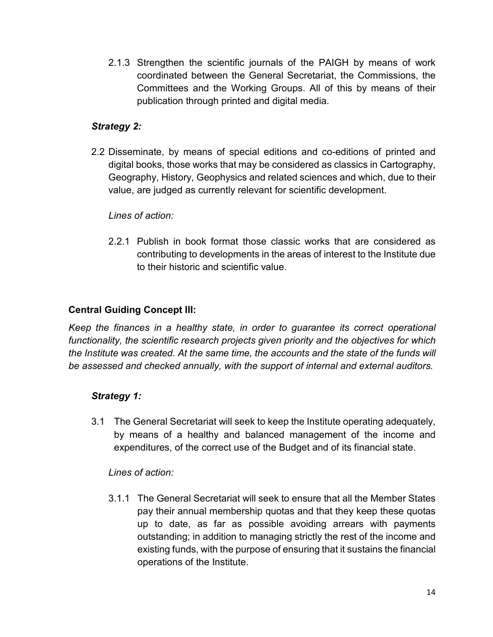2.1.3 Strengthen the scientific journals of the PAIGH by means of work coordinated between the General Secretariat, the Commissions, the Committees and the Working Groups. All of this by means of their publication through printed and digital media.

## *Strategy 2:*

2.2 Disseminate, by means of special editions and co-editions of printed and digital books, those works that may be considered as classics in Cartography, Geography, History, Geophysics and related sciences and which, due to their value, are judged as currently relevant for scientific development.

### *Lines of action:*

2.2.1 Publish in book format those classic works that are considered as contributing to developments in the areas of interest to the Institute due to their historic and scientific value.

## **Central Guiding Concept III:**

*Keep the finances in a healthy state, in order to guarantee its correct operational functionality, the scientific research projects given priority and the objectives for which the Institute was created. At the same time, the accounts and the state of the funds will be assessed and checked annually, with the support of internal and external auditors.*

### *Strategy 1:*

3.1 The General Secretariat will seek to keep the Institute operating adequately, by means of a healthy and balanced management of the income and expenditures, of the correct use of the Budget and of its financial state.

### *Lines of action:*

3.1.1 The General Secretariat will seek to ensure that all the Member States pay their annual membership quotas and that they keep these quotas up to date, as far as possible avoiding arrears with payments outstanding; in addition to managing strictly the rest of the income and existing funds, with the purpose of ensuring that it sustains the financial operations of the Institute.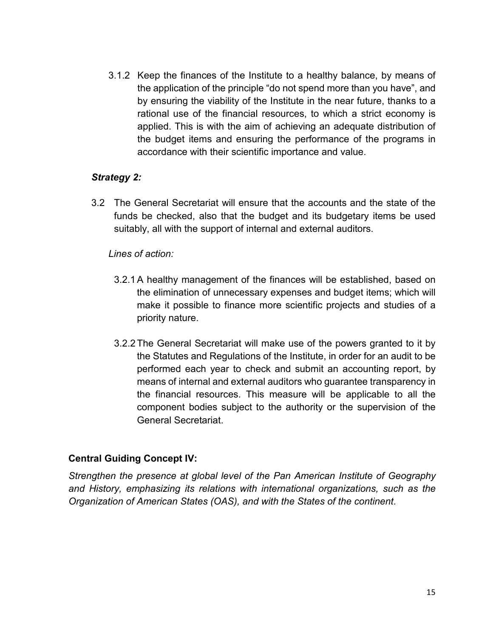3.1.2 Keep the finances of the Institute to a healthy balance, by means of the application of the principle "do not spend more than you have", and by ensuring the viability of the Institute in the near future, thanks to a rational use of the financial resources, to which a strict economy is applied. This is with the aim of achieving an adequate distribution of the budget items and ensuring the performance of the programs in accordance with their scientific importance and value.

#### *Strategy 2:*

3.2 The General Secretariat will ensure that the accounts and the state of the funds be checked, also that the budget and its budgetary items be used suitably, all with the support of internal and external auditors.

#### *Lines of action:*

- 3.2.1A healthy management of the finances will be established, based on the elimination of unnecessary expenses and budget items; which will make it possible to finance more scientific projects and studies of a priority nature.
- 3.2.2The General Secretariat will make use of the powers granted to it by the Statutes and Regulations of the Institute, in order for an audit to be performed each year to check and submit an accounting report, by means of internal and external auditors who guarantee transparency in the financial resources. This measure will be applicable to all the component bodies subject to the authority or the supervision of the General Secretariat.

### **Central Guiding Concept IV:**

*Strengthen the presence at global level of the Pan American Institute of Geography and History, emphasizing its relations with international organizations, such as the Organization of American States (OAS), and with the States of the continent*.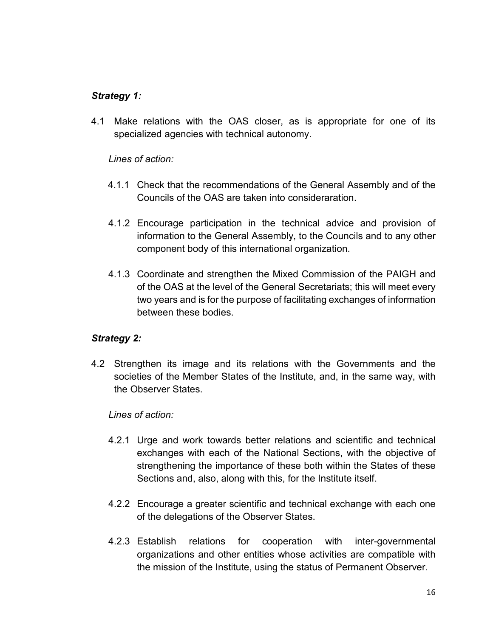## *Strategy 1:*

4.1 Make relations with the OAS closer, as is appropriate for one of its specialized agencies with technical autonomy.

*Lines of action:*

- 4.1.1 Check that the recommendations of the General Assembly and of the Councils of the OAS are taken into consideraration.
- 4.1.2 Encourage participation in the technical advice and provision of information to the General Assembly, to the Councils and to any other component body of this international organization.
- 4.1.3 Coordinate and strengthen the Mixed Commission of the PAIGH and of the OAS at the level of the General Secretariats; this will meet every two years and is for the purpose of facilitating exchanges of information between these bodies.

### *Strategy 2:*

4.2 Strengthen its image and its relations with the Governments and the societies of the Member States of the Institute, and, in the same way, with the Observer States.

- 4.2.1 Urge and work towards better relations and scientific and technical exchanges with each of the National Sections, with the objective of strengthening the importance of these both within the States of these Sections and, also, along with this, for the Institute itself.
- 4.2.2 Encourage a greater scientific and technical exchange with each one of the delegations of the Observer States.
- 4.2.3 Establish relations for cooperation with inter-governmental organizations and other entities whose activities are compatible with the mission of the Institute, using the status of Permanent Observer.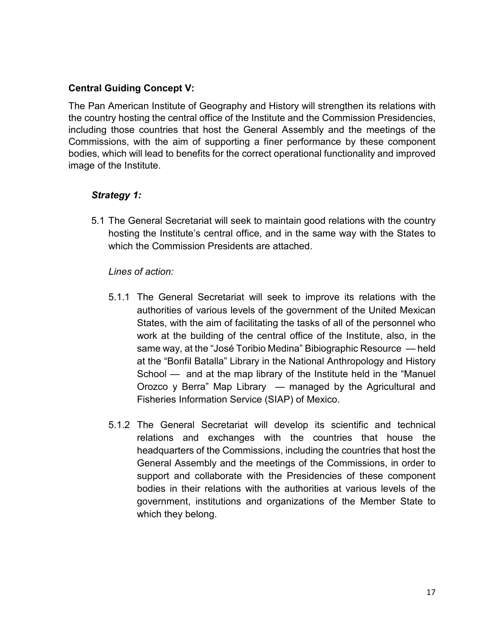## **Central Guiding Concept V:**

The Pan American Institute of Geography and History will strengthen its relations with the country hosting the central office of the Institute and the Commission Presidencies, including those countries that host the General Assembly and the meetings of the Commissions, with the aim of supporting a finer performance by these component bodies, which will lead to benefits for the correct operational functionality and improved image of the Institute.

## *Strategy 1:*

5.1 The General Secretariat will seek to maintain good relations with the country hosting the Institute's central office, and in the same way with the States to which the Commission Presidents are attached.

- 5.1.1 The General Secretariat will seek to improve its relations with the authorities of various levels of the government of the United Mexican States, with the aim of facilitating the tasks of all of the personnel who work at the building of the central office of the Institute, also, in the same way, at the "José Toribio Medina" Bibiographic Resource — held at the "Bonfil Batalla" Library in the National Anthropology and History School — and at the map library of the Institute held in the "Manuel Orozco y Berra" Map Library — managed by the Agricultural and Fisheries Information Service (SIAP) of Mexico.
- 5.1.2 The General Secretariat will develop its scientific and technical relations and exchanges with the countries that house the headquarters of the Commissions, including the countries that host the General Assembly and the meetings of the Commissions, in order to support and collaborate with the Presidencies of these component bodies in their relations with the authorities at various levels of the government, institutions and organizations of the Member State to which they belong.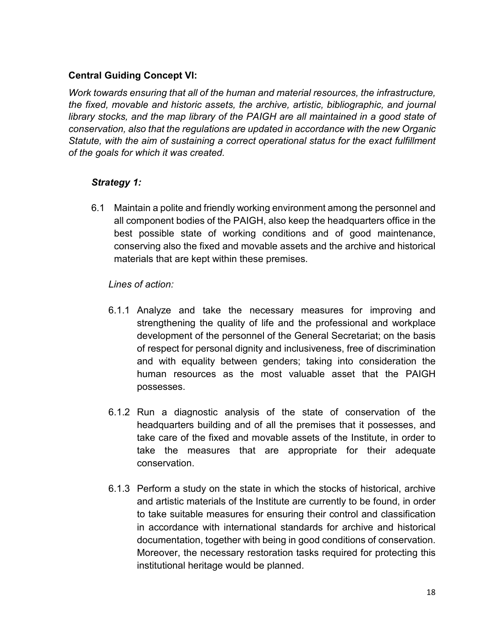## **Central Guiding Concept VI:**

*Work towards ensuring that all of the human and material resources, the infrastructure, the fixed, movable and historic assets, the archive, artistic, bibliographic, and journal library stocks, and the map library of the PAIGH are all maintained in a good state of conservation, also that the regulations are updated in accordance with the new Organic Statute, with the aim of sustaining a correct operational status for the exact fulfillment of the goals for which it was created.*

## *Strategy 1:*

6.1 Maintain a polite and friendly working environment among the personnel and all component bodies of the PAIGH, also keep the headquarters office in the best possible state of working conditions and of good maintenance, conserving also the fixed and movable assets and the archive and historical materials that are kept within these premises.

- 6.1.1 Analyze and take the necessary measures for improving and strengthening the quality of life and the professional and workplace development of the personnel of the General Secretariat; on the basis of respect for personal dignity and inclusiveness, free of discrimination and with equality between genders; taking into consideration the human resources as the most valuable asset that the PAIGH possesses.
- 6.1.2 Run a diagnostic analysis of the state of conservation of the headquarters building and of all the premises that it possesses, and take care of the fixed and movable assets of the Institute, in order to take the measures that are appropriate for their adequate conservation.
- 6.1.3 Perform a study on the state in which the stocks of historical, archive and artistic materials of the Institute are currently to be found, in order to take suitable measures for ensuring their control and classification in accordance with international standards for archive and historical documentation, together with being in good conditions of conservation. Moreover, the necessary restoration tasks required for protecting this institutional heritage would be planned.